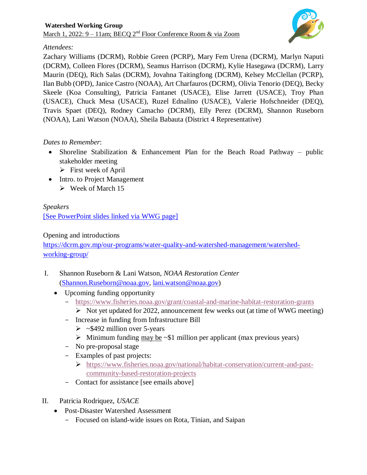

# *Attendees:*

Zachary Williams (DCRM), Robbie Green (PCRP), Mary Fem Urena (DCRM), Marlyn Naputi (DCRM), Colleen Flores (DCRM), Seamus Harrison (DCRM), Kylie Hasegawa (DCRM), Larry Maurin (DEQ), Rich Salas (DCRM), Jovahna Taitingfong (DCRM), Kelsey McClellan (PCRP), Ilan Bubb (OPD), Janice Castro (NOAA), Art Charfauros (DCRM), Olivia Tenorio (DEQ), Becky Skeele (Koa Consulting), Patricia Fantanet (USACE), Elise Jarrett (USACE), Troy Phan (USACE), Chuck Mesa (USACE), Ruzel Ednalino (USACE), Valerie Hofschneider (DEQ), Travis Spaet (DEQ), Rodney Camacho (DCRM), Elly Perez (DCRM), Shannon Ruseborn (NOAA), Lani Watson (NOAA), Sheila Babauta (District 4 Representative)

# *Dates to Remember*:

- Shoreline Stabilization & Enhancement Plan for the Beach Road Pathway public stakeholder meeting
	- $\triangleright$  First week of April
- Intro. to Project Management
	- $\triangleright$  Week of March 15

# *Speakers* [\[See PowerPoint slides linked via WWG page\]](https://dcrm.gov.mp/wp-content/uploads/crm/2022.3.1_WWG-meeting-slides.pdf)

### Opening and introductions

[https://dcrm.gov.mp/our-programs/water-quality-and-watershed-management/watershed](https://dcrm.gov.mp/our-programs/water-quality-and-watershed-management/watershed-working-group/)[working-group/](https://dcrm.gov.mp/our-programs/water-quality-and-watershed-management/watershed-working-group/)

- I. Shannon Ruseborn & Lani Watson, *NOAA Restoration Center* [\(Shannon.Ruseborn@noaa.gov,](mailto:Shannon.Ruseborn@noaa.gov) [lani.watson@noaa.gov\)](mailto:lani.watson@noaa.gov)
	- Upcoming funding opportunity
		- <https://www.fisheries.noaa.gov/grant/coastal-and-marine-habitat-restoration-grants>
			- $\triangleright$  Not yet updated for 2022, announcement few weeks out (at time of WWG meeting)
		- Increase in funding from Infrastructure Bill
			- $\triangleright$  ~\$492 million over 5-years
			- $\triangleright$  Minimum funding may be  $\sim$ \$1 million per applicant (max previous years)
		- No pre-proposal stage
		- Examples of past projects:
			- [https://www.fisheries.noaa.gov/national/habitat-conservation/current-and-past](https://www.fisheries.noaa.gov/national/habitat-conservation/current-and-past-community-based-restoration-projects)[community-based-restoration-projects](https://www.fisheries.noaa.gov/national/habitat-conservation/current-and-past-community-based-restoration-projects)
		- Contact for assistance [see emails above]
- II. Patricia Rodriquez, *USACE*
	- Post-Disaster Watershed Assessment
		- Focused on island-wide issues on Rota, Tinian, and Saipan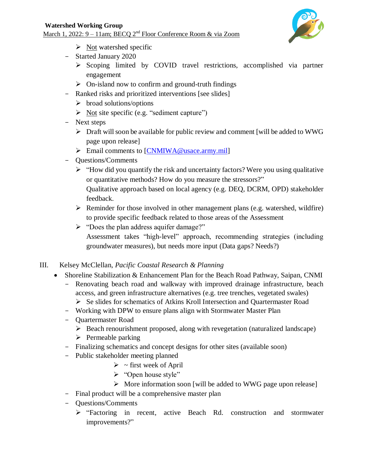

- $\triangleright$  Not watershed specific
- Started January 2020
	- $\triangleright$  Scoping limited by COVID travel restrictions, accomplished via partner engagement
	- $\triangleright$  On-island now to confirm and ground-truth findings
- Ranked risks and prioritized interventions [see slides]
	- $\triangleright$  broad solutions/options
	- $\triangleright$  Not site specific (e.g. "sediment capture")
- Next steps
	- $\triangleright$  Draft will soon be available for public review and comment [will be added to WWG] page upon release]
	- Email comments to  $[CNMIWA@usace.array.mil]$
- Questions/Comments
	- $\triangleright$  "How did you quantify the risk and uncertainty factors? Were you using qualitative or quantitative methods? How do you measure the stressors?" Qualitative approach based on local agency (e.g. DEQ, DCRM, OPD) stakeholder feedback.
	- $\triangleright$  Reminder for those involved in other management plans (e.g. watershed, wildfire) to provide specific feedback related to those areas of the Assessment
	- > "Does the plan address aquifer damage?"
		- Assessment takes "high-level" approach, recommending strategies (including groundwater measures), but needs more input (Data gaps? Needs?)
- III. Kelsey McClellan, *Pacific Coastal Research & Planning*
	- Shoreline Stabilization & Enhancement Plan for the Beach Road Pathway, Saipan, CNMI
		- Renovating beach road and walkway with improved drainage infrastructure, beach access, and green infrastructure alternatives (e.g. tree trenches, vegetated swales)
			- Se slides for schematics of Atkins Kroll Intersection and Quartermaster Road
		- Working with DPW to ensure plans align with Stormwater Master Plan
		- Quartermaster Road
			- $\triangleright$  Beach renourishment proposed, along with revegetation (naturalized landscape)
			- $\triangleright$  Permeable parking
		- Finalizing schematics and concept designs for other sites (available soon)
		- Public stakeholder meeting planned
			- $\triangleright$  ~ first week of April
			- > "Open house style"
			- $\triangleright$  More information soon [will be added to WWG page upon release]
		- Final product will be a comprehensive master plan
		- Questions/Comments
			- "Factoring in recent, active Beach Rd. construction and stormwater improvements?"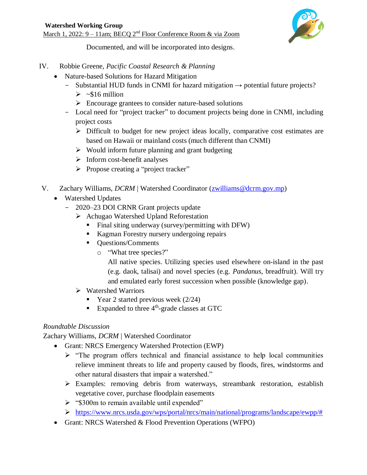

Documented, and will be incorporated into designs.

- IV. Robbie Greene, *Pacific Coastal Research & Planning*
	- Nature-based Solutions for Hazard Mitigation
		- Substantial HUD funds in CNMI for hazard mitigation  $\rightarrow$  potential future projects?
			- $\triangleright$  ~\$16 million
			- $\triangleright$  Encourage grantees to consider nature-based solutions
		- Local need for "project tracker" to document projects being done in CNMI, including project costs
			- $\triangleright$  Difficult to budget for new project ideas locally, comparative cost estimates are based on Hawaii or mainland costs (much different than CNMI)
			- $\triangleright$  Would inform future planning and grant budgeting
			- $\triangleright$  Inform cost-benefit analyses
			- $\triangleright$  Propose creating a "project tracker"
- V. Zachary Williams, *DCRM* | Watershed Coordinator [\(zwilliams@dcrm.gov.mp\)](mailto:zwilliams@dcrm.gov.mp)
	- Watershed Updates
		- 2020–23 DOI CRNR Grant projects update
			- Achugao Watershed Upland Reforestation
				- Final siting underway (survey/permitting with DFW)
				- Kagman Forestry nursery undergoing repairs
				- **Questions/Comments** 
					- o "What tree species?"

All native species. Utilizing species used elsewhere on-island in the past (e.g. daok, talisai) and novel species (e.g. *Pandanus*, breadfruit). Will try and emulated early forest succession when possible (knowledge gap).

- $\triangleright$  Watershed Warriors
	- Year 2 started previous week  $(2/24)$
	- Expanded to three  $4<sup>th</sup>$ -grade classes at GTC

# *Roundtable Discussion*

Zachary Williams, *DCRM* | Watershed Coordinator

- Grant: NRCS Emergency Watershed Protection (EWP)
	- $\triangleright$  "The program offers technical and financial assistance to help local communities relieve imminent threats to life and property caused by floods, fires, windstorms and other natural disasters that impair a watershed."
	- Examples: removing debris from waterways, streambank restoration, establish vegetative cover, purchase floodplain easements
	- $\triangleright$  "\$300m to remain available until expended"
	- [https://www.nrcs.usda.gov/wps/portal/nrcs/main/national/programs/landscape/ewpp/#](https://www.nrcs.usda.gov/wps/portal/nrcs/main/national/programs/landscape/ewpp/)
- Grant: NRCS Watershed & Flood Prevention Operations (WFPO)